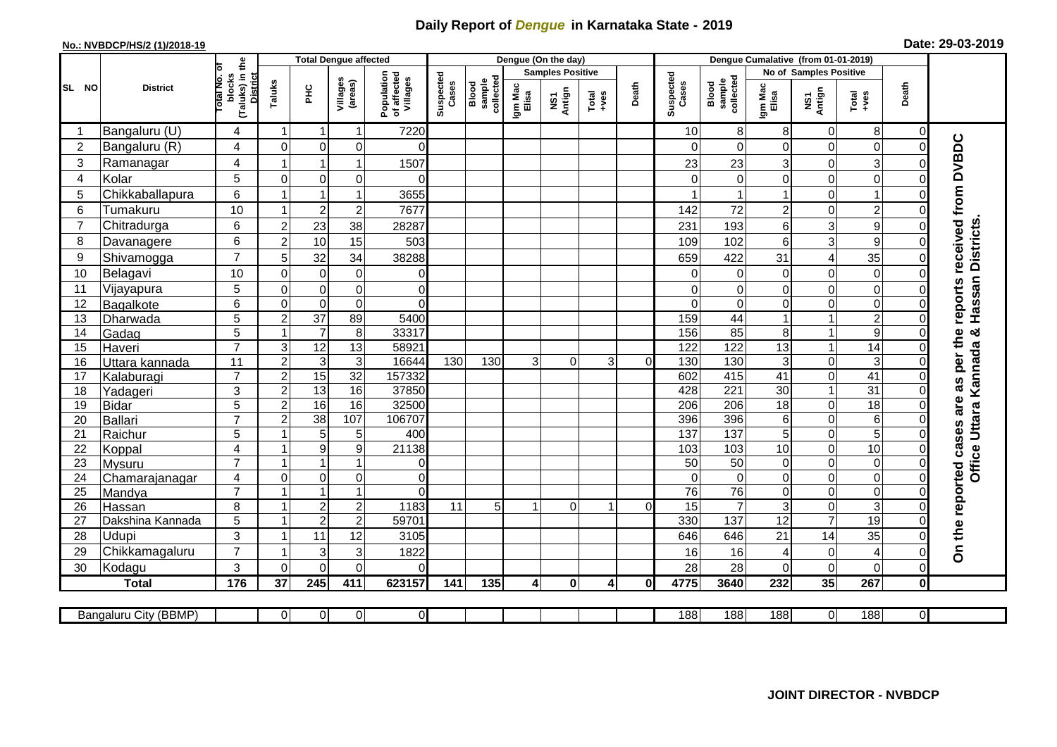## **Daily Report of** *Dengue* **in Karnataka State - 2019**

## **No.: NVBDCP/HS/2 (1)/2018-19 Date: 29-03-2019**

|                |                            |                                                              |                |                         | <b>Total Dengue affected</b>              |                                       |                    |                              |                  | Dengue (On the day)     |                                                              |          |                    |                              |                  |                            |                                    |                |                                     |
|----------------|----------------------------|--------------------------------------------------------------|----------------|-------------------------|-------------------------------------------|---------------------------------------|--------------------|------------------------------|------------------|-------------------------|--------------------------------------------------------------|----------|--------------------|------------------------------|------------------|----------------------------|------------------------------------|----------------|-------------------------------------|
|                |                            |                                                              |                |                         |                                           |                                       |                    |                              |                  | <b>Samples Positive</b> |                                                              |          |                    |                              |                  | No of Samples Positive     |                                    |                |                                     |
| SL NO          | <b>District</b>            | (Taluks) in the<br>lotal No. of<br>blocks<br><b>District</b> | Taluks         | ΞÉ                      | Villages<br>(areas)                       | Population<br>of affected<br>Villages | Suspected<br>Cases | sample<br>collected<br>Blood | Igm Mac<br>Elisa | NS1<br>Antign           | $\begin{array}{c}\n\text{Total} \\ \text{Area}\n\end{array}$ | Death    | Suspected<br>Cases | sample<br>collected<br>Blood | Igm Mac<br>Elisa | NS1<br>Antign              | $Tota$<br>$+ves$                   | Death          |                                     |
|                | Bangaluru (U)              | 4                                                            | -1             | $\overline{\mathbf{1}}$ | 1                                         | 7220                                  |                    |                              |                  |                         |                                                              |          | 10                 | 8                            | 8                | $\mathbf 0$                | 8                                  | $\overline{0}$ |                                     |
| $\overline{2}$ | Bangaluru (R)              | 4                                                            | $\Omega$       | $\mathbf 0$             | 0                                         | $\Omega$                              |                    |                              |                  |                         |                                                              |          | ∩                  | $\Omega$                     | 0                | $\Omega$                   | $\mathbf 0$                        | $\Omega$       |                                     |
| 3              | Ramanagar                  | 4                                                            |                | 1                       | 1                                         | 1507                                  |                    |                              |                  |                         |                                                              |          | 23                 | 23                           | 3                | $\mathbf 0$                | $\mathbf{3}$                       | 0              | reports received from DVBDC         |
| 4              | Kolar                      | 5                                                            | $\mathbf 0$    | $\mathbf 0$             | 0                                         | $\Omega$                              |                    |                              |                  |                         |                                                              |          |                    | $\mathbf 0$                  | 0                | $\mathbf 0$                | $\mathbf 0$                        | $\Omega$       |                                     |
| 5              | Chikkaballapura            | $6\phantom{1}$                                               |                | $\overline{1}$          | 1                                         | 3655                                  |                    |                              |                  |                         |                                                              |          |                    |                              | 1                | $\overline{0}$             | $\mathbf{1}$                       | 0              |                                     |
| 6              | Tumakuru                   | 10                                                           |                | $\overline{2}$          | $\overline{c}$                            | 7677                                  |                    |                              |                  |                         |                                                              |          | 142                | 72                           | $\overline{c}$   | $\mathbf 0$                | $\overline{c}$                     | 0              |                                     |
| $\overline{7}$ | Chitradurga                | 6                                                            | $\overline{c}$ | 23                      | 38                                        | 28287                                 |                    |                              |                  |                         |                                                              |          | 231                | 193                          | 6                | 3                          | 9                                  | $\Omega$       |                                     |
| 8              | Davanagere                 | 6                                                            | $\overline{2}$ | 10                      | 15                                        | 503                                   |                    |                              |                  |                         |                                                              |          | 109                | 102                          | 6                | 3                          | 9                                  | 0              |                                     |
| 9              | Shivamogga                 | $\overline{7}$                                               | 5              | 32                      | 34                                        | 38288                                 |                    |                              |                  |                         |                                                              |          | 659                | 422                          | 31               | $\overline{\mathcal{A}}$   | 35                                 | 0              | Hassan Districts                    |
| 10             | Belagavi                   | 10                                                           | $\mathbf 0$    | $\mathbf 0$             | $\pmb{0}$                                 | 0                                     |                    |                              |                  |                         |                                                              |          |                    | 0                            | 0                | $\mathbf 0$                | $\mathbf 0$                        | 0              |                                     |
| 11             | Vijayapura                 | 5                                                            | $\mathbf 0$    | $\boldsymbol{0}$        | $\mathbf 0$                               | $\mathbf 0$                           |                    |                              |                  |                         |                                                              |          | $\Omega$           | $\mathbf 0$                  | 0                | $\boldsymbol{0}$           | $\mathbf 0$                        | $\Omega$       |                                     |
| 12             | Bagalkote                  | 6                                                            | $\Omega$       | $\mathbf 0$             | $\overline{0}$                            | $\Omega$                              |                    |                              |                  |                         |                                                              |          | $\Omega$           | $\Omega$                     | 0                | $\Omega$                   | $\overline{0}$                     | $\Omega$       |                                     |
| 13             | Dharwada                   | 5                                                            | $\overline{2}$ | $\overline{37}$         | 89                                        | 5400                                  |                    |                              |                  |                         |                                                              |          | 159                | 44                           | $\mathbf 1$      | $\mathbf{1}$               | $\overline{2}$                     | $\Omega$       |                                     |
| 14             | Gadag                      | $\overline{5}$                                               |                | $\overline{7}$          | 8                                         | 33317                                 |                    |                              |                  |                         |                                                              |          | 156                | 85                           | 8                | $\mathbf{1}$               | $\overline{9}$                     | $\Omega$       | ×                                   |
| 15             | Haveri                     | $\overline{7}$                                               | $\mathsf 3$    | 12                      | 13                                        | 58921                                 |                    |                              |                  |                         |                                                              |          | 122                | 122                          | 13               | $\mathbf{1}$               | $\overline{14}$                    | 0              |                                     |
| 16             | Uttara kannada             | 11                                                           | $\overline{c}$ | 3                       | $\mathsf 3$                               | 16644                                 | 130                | 130                          | 3                | $\Omega$                | 3                                                            | $\Omega$ | 130                | 130                          | 3                | $\mathbf 0$                | $\mathbf{3}$                       | 0              | as per the<br>Office Uttara Kannada |
| 17             | Kalaburagi                 | $\overline{7}$                                               | $\overline{2}$ | 15                      | 32                                        | 157332                                |                    |                              |                  |                         |                                                              |          | 602                | 415                          | 41               | $\overline{0}$             | 41                                 | 0              |                                     |
| 18             | Yadageri                   | 3                                                            | $\overline{2}$ | 13                      | 16                                        | 37850                                 |                    |                              |                  |                         |                                                              |          | 428                | 221                          | 30               | $\mathbf{1}$               | 31                                 | $\Omega$       |                                     |
| 19             | Bidar                      | $\overline{5}$                                               | $\overline{2}$ | 16                      | 16                                        | 32500                                 |                    |                              |                  |                         |                                                              |          | $\overline{206}$   | $\overline{206}$             | $\overline{18}$  | $\mathbf 0$                | 18                                 | $\Omega$       | are                                 |
| 20             | Ballari                    | $\overline{7}$                                               | $\overline{2}$ | $\overline{38}$         | 107                                       | 106707                                |                    |                              |                  |                         |                                                              |          | 396                | 396                          | 6                | $\pmb{0}$                  | 6                                  | 0              |                                     |
| 21             | Raichur                    | 5                                                            |                | 5                       | 5                                         | 400                                   |                    |                              |                  |                         |                                                              |          | 137                | 137                          | $\overline{5}$   | $\overline{0}$             | $\overline{5}$                     | $\Omega$       |                                     |
| 22             | Koppal                     | 4                                                            |                | $9\,$                   | $\boldsymbol{9}$                          | 21138                                 |                    |                              |                  |                         |                                                              |          | 103                | 103                          | 10               | $\mathbf 0$                | 10                                 | 0              |                                     |
| 23             | Mysuru                     | $\overline{7}$                                               |                | 1                       | 1                                         | 0                                     |                    |                              |                  |                         |                                                              |          | $\overline{50}$    | 50                           | 0                | $\mathbf 0$                | $\boldsymbol{0}$                   | $\Omega$       |                                     |
| 24             | Chamarajanagar             | 4<br>$\overline{7}$                                          | $\mathbf 0$    | 0<br>1                  | 0<br>1                                    | 0<br>$\Omega$                         |                    |                              |                  |                         |                                                              |          | $\Omega$           | $\mathbf 0$                  | 0                | 0                          | $\overline{0}$                     | $\overline{0}$ |                                     |
| 25<br>26       | Mandya                     | 8                                                            |                | $\overline{2}$          |                                           | 1183                                  | 11                 | 5                            | $\mathbf 1$      | $\Omega$                | 1                                                            | $\Omega$ | 76<br>15           | 76<br>$\overline{7}$         | 0<br>3           | $\mathbf 0$<br>$\mathbf 0$ | $\boldsymbol{0}$<br>$\overline{3}$ | $\Omega$<br>0  |                                     |
| 27             | Hassan<br>Dakshina Kannada | 5                                                            |                | $\overline{c}$          | $\overline{\mathbf{c}}$<br>$\overline{2}$ | 59701                                 |                    |                              |                  |                         |                                                              |          | 330                | 137                          | $\overline{12}$  | $\overline{7}$             | $\overline{19}$                    | $\Omega$       |                                     |
| 28             | <b>Udupi</b>               | 3                                                            |                | 11                      | 12                                        | 3105                                  |                    |                              |                  |                         |                                                              |          | 646                | 646                          | 21               | 14                         | 35                                 | 0              |                                     |
| 29             | Chikkamagaluru             | $\overline{7}$                                               |                | 3                       | 3                                         | 1822                                  |                    |                              |                  |                         |                                                              |          | 16                 | 16                           | 4                | $\mathbf 0$                | $\overline{4}$                     | $\Omega$       | On the reported cases               |
| 30             | Kodagu                     | $\mathbf{3}$                                                 | $\mathbf 0$    | $\mathbf 0$             | $\mathbf 0$                               | $\Omega$                              |                    |                              |                  |                         |                                                              |          | 28                 | 28                           | 0                | $\mathbf 0$                | $\mathbf 0$                        | $\overline{0}$ |                                     |
|                | <b>Total</b>               | 176                                                          | 37             | 245                     | 411                                       | 623157                                | 141                | 135                          | $\overline{4}$   | $\mathbf{0}$            | $\overline{\mathbf{A}}$                                      | 0l       | 4775               | 3640                         | 232              | 35                         | 267                                | $\mathbf{0}$   |                                     |
|                |                            |                                                              |                |                         |                                           |                                       |                    |                              |                  |                         |                                                              |          |                    |                              |                  |                            |                                    |                |                                     |
|                | Bangaluru City (BBMP)      |                                                              | $\overline{0}$ | $\overline{0}$          | 0                                         | $\overline{0}$                        |                    |                              |                  |                         |                                                              |          | 188                | 188                          | 188              | $\overline{0}$             | 188                                | $\overline{0}$ |                                     |